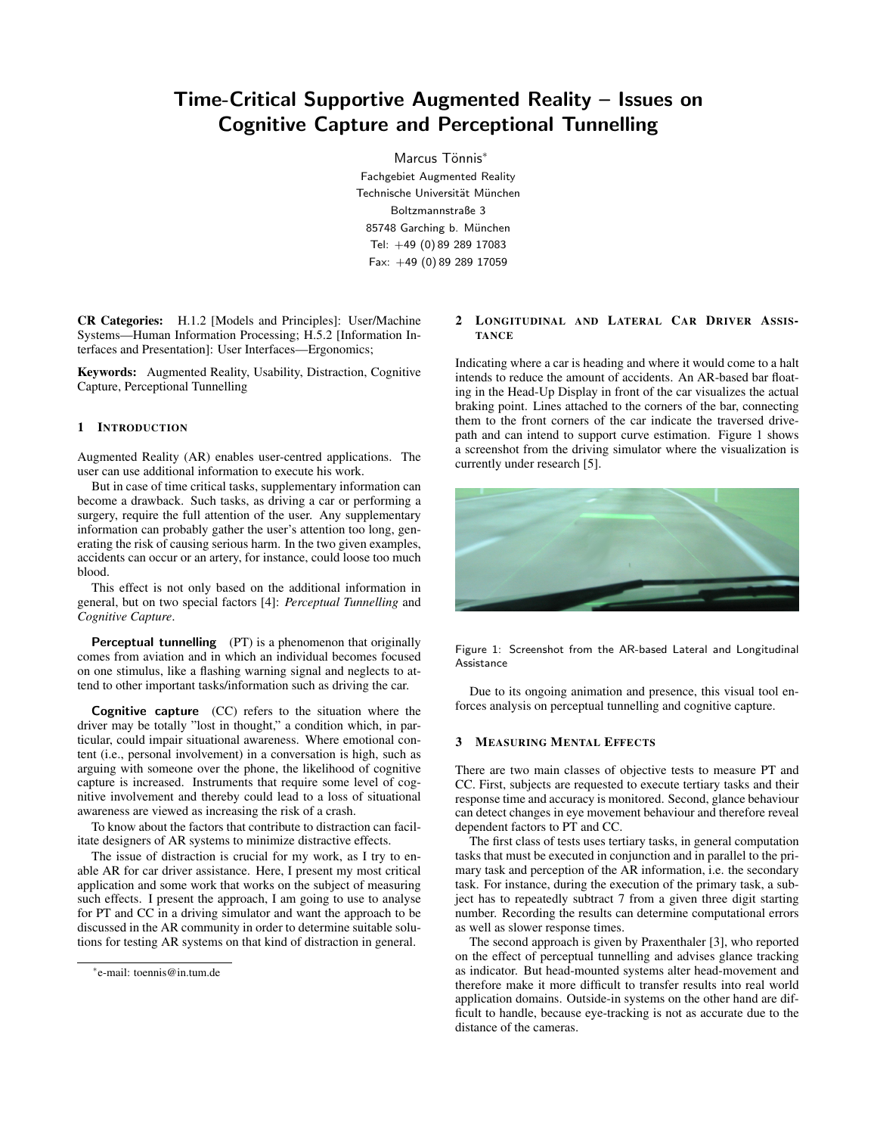# Time-Critical Supportive Augmented Reality – Issues on Cognitive Capture and Perceptional Tunnelling

Marcus Tönnis<sup>\*</sup> Fachgebiet Augmented Reality Technische Universität München Boltzmannstraße 3 85748 Garching b. München Tel: +49 (0) 89 289 17083 Fax: +49 (0) 89 289 17059

CR Categories: H.1.2 [Models and Principles]: User/Machine Systems—Human Information Processing; H.5.2 [Information Interfaces and Presentation]: User Interfaces—Ergonomics;

Keywords: Augmented Reality, Usability, Distraction, Cognitive Capture, Perceptional Tunnelling

#### 1 INTRODUCTION

Augmented Reality (AR) enables user-centred applications. The user can use additional information to execute his work.

But in case of time critical tasks, supplementary information can become a drawback. Such tasks, as driving a car or performing a surgery, require the full attention of the user. Any supplementary information can probably gather the user's attention too long, generating the risk of causing serious harm. In the two given examples, accidents can occur or an artery, for instance, could loose too much blood.

This effect is not only based on the additional information in general, but on two special factors [4]: *Perceptual Tunnelling* and *Cognitive Capture*.

Perceptual tunnelling (PT) is a phenomenon that originally comes from aviation and in which an individual becomes focused on one stimulus, like a flashing warning signal and neglects to attend to other important tasks/information such as driving the car.

Cognitive capture (CC) refers to the situation where the driver may be totally "lost in thought," a condition which, in particular, could impair situational awareness. Where emotional content (i.e., personal involvement) in a conversation is high, such as arguing with someone over the phone, the likelihood of cognitive capture is increased. Instruments that require some level of cognitive involvement and thereby could lead to a loss of situational awareness are viewed as increasing the risk of a crash.

To know about the factors that contribute to distraction can facilitate designers of AR systems to minimize distractive effects.

The issue of distraction is crucial for my work, as I try to enable AR for car driver assistance. Here, I present my most critical application and some work that works on the subject of measuring such effects. I present the approach, I am going to use to analyse for PT and CC in a driving simulator and want the approach to be discussed in the AR community in order to determine suitable solutions for testing AR systems on that kind of distraction in general.

#### 2 LONGITUDINAL AND LATERAL CAR DRIVER ASSIS-**TANCE**

Indicating where a car is heading and where it would come to a halt intends to reduce the amount of accidents. An AR-based bar floating in the Head-Up Display in front of the car visualizes the actual braking point. Lines attached to the corners of the bar, connecting them to the front corners of the car indicate the traversed drivepath and can intend to support curve estimation. Figure 1 shows a screenshot from the driving simulator where the visualization is currently under research [5].



Figure 1: Screenshot from the AR-based Lateral and Longitudinal Assistance

Due to its ongoing animation and presence, this visual tool enforces analysis on perceptual tunnelling and cognitive capture.

### 3 MEASURING MENTAL EFFECTS

There are two main classes of objective tests to measure PT and CC. First, subjects are requested to execute tertiary tasks and their response time and accuracy is monitored. Second, glance behaviour can detect changes in eye movement behaviour and therefore reveal dependent factors to PT and CC.

The first class of tests uses tertiary tasks, in general computation tasks that must be executed in conjunction and in parallel to the primary task and perception of the AR information, i.e. the secondary task. For instance, during the execution of the primary task, a subject has to repeatedly subtract 7 from a given three digit starting number. Recording the results can determine computational errors as well as slower response times.

The second approach is given by Praxenthaler [3], who reported on the effect of perceptual tunnelling and advises glance tracking as indicator. But head-mounted systems alter head-movement and therefore make it more difficult to transfer results into real world application domains. Outside-in systems on the other hand are difficult to handle, because eye-tracking is not as accurate due to the distance of the cameras.

<sup>∗</sup> e-mail: toennis@in.tum.de